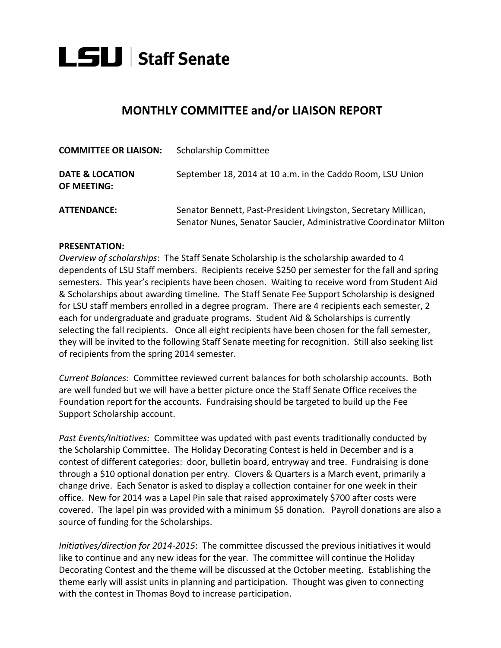

## **MONTHLY COMMITTEE and/or LIAISON REPORT**

| <b>COMMITTEE OR LIAISON:</b>              | <b>Scholarship Committee</b>                                                                                                         |
|-------------------------------------------|--------------------------------------------------------------------------------------------------------------------------------------|
| <b>DATE &amp; LOCATION</b><br>OF MEETING: | September 18, 2014 at 10 a.m. in the Caddo Room, LSU Union                                                                           |
| <b>ATTENDANCE:</b>                        | Senator Bennett, Past-President Livingston, Secretary Millican,<br>Senator Nunes, Senator Saucier, Administrative Coordinator Milton |

## **PRESENTATION:**

*Overview of scholarships*: The Staff Senate Scholarship is the scholarship awarded to 4 dependents of LSU Staff members. Recipients receive \$250 per semester for the fall and spring semesters. This year's recipients have been chosen. Waiting to receive word from Student Aid & Scholarships about awarding timeline. The Staff Senate Fee Support Scholarship is designed for LSU staff members enrolled in a degree program. There are 4 recipients each semester, 2 each for undergraduate and graduate programs. Student Aid & Scholarships is currently selecting the fall recipients. Once all eight recipients have been chosen for the fall semester, they will be invited to the following Staff Senate meeting for recognition. Still also seeking list of recipients from the spring 2014 semester.

*Current Balances*: Committee reviewed current balances for both scholarship accounts. Both are well funded but we will have a better picture once the Staff Senate Office receives the Foundation report for the accounts. Fundraising should be targeted to build up the Fee Support Scholarship account.

*Past Events/Initiatives:* Committee was updated with past events traditionally conducted by the Scholarship Committee. The Holiday Decorating Contest is held in December and is a contest of different categories: door, bulletin board, entryway and tree. Fundraising is done through a \$10 optional donation per entry. Clovers & Quarters is a March event, primarily a change drive. Each Senator is asked to display a collection container for one week in their office. New for 2014 was a Lapel Pin sale that raised approximately \$700 after costs were covered. The lapel pin was provided with a minimum \$5 donation. Payroll donations are also a source of funding for the Scholarships.

*Initiatives/direction for 2014-2015*: The committee discussed the previous initiatives it would like to continue and any new ideas for the year. The committee will continue the Holiday Decorating Contest and the theme will be discussed at the October meeting. Establishing the theme early will assist units in planning and participation. Thought was given to connecting with the contest in Thomas Boyd to increase participation.